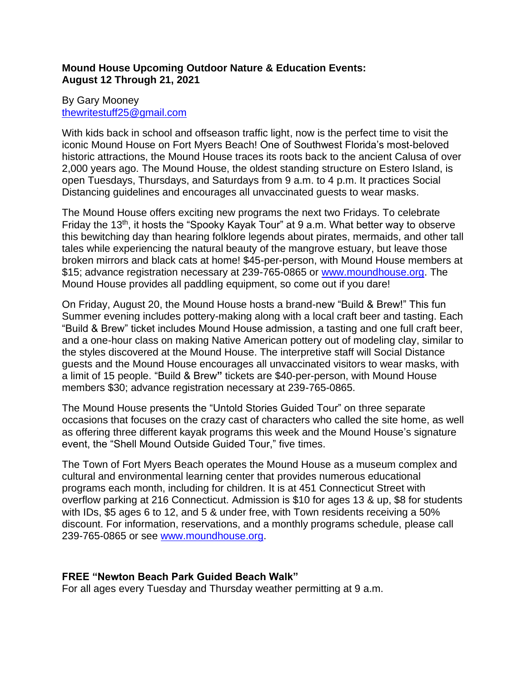# **Mound House Upcoming Outdoor Nature & Education Events: August 12 Through 21, 2021**

## By Gary Mooney [thewritestuff25@gmail.com](mailto:thewritestuff25@gmail.com)

With kids back in school and offseason traffic light, now is the perfect time to visit the iconic Mound House on Fort Myers Beach! One of Southwest Florida's most-beloved historic attractions, the Mound House traces its roots back to the ancient Calusa of over 2,000 years ago. The Mound House, the oldest standing structure on Estero Island, is open Tuesdays, Thursdays, and Saturdays from 9 a.m. to 4 p.m. It practices Social Distancing guidelines and encourages all unvaccinated guests to wear masks.

The Mound House offers exciting new programs the next two Fridays. To celebrate Friday the 13<sup>th</sup>, it hosts the "Spooky Kayak Tour" at 9 a.m. What better way to observe this bewitching day than hearing folklore legends about pirates, mermaids, and other tall tales while experiencing the natural beauty of the mangrove estuary, but leave those broken mirrors and black cats at home! \$45-per-person, with Mound House members at \$15; advance registration necessary at 239-765-0865 or [www.moundhouse.org.](http://www.moundhouse.org/) The Mound House provides all paddling equipment, so come out if you dare!

On Friday, August 20, the Mound House hosts a brand-new "Build & Brew!" This fun Summer evening includes pottery-making along with a local craft beer and tasting. Each "Build & Brew" ticket includes Mound House admission, a tasting and one full craft beer, and a one-hour class on making Native American pottery out of modeling clay, similar to the styles discovered at the Mound House. The interpretive staff will Social Distance guests and the Mound House encourages all unvaccinated visitors to wear masks, with a limit of 15 people. "Build & Brew**"** tickets are \$40-per-person, with Mound House members \$30; advance registration necessary at 239-765-0865.

The Mound House presents the "Untold Stories Guided Tour" on three separate occasions that focuses on the crazy cast of characters who called the site home, as well as offering three different kayak programs this week and the Mound House's signature event, the "Shell Mound Outside Guided Tour," five times.

The Town of Fort Myers Beach operates the Mound House as a museum complex and cultural and environmental learning center that provides numerous educational programs each month, including for children. It is at 451 Connecticut Street with overflow parking at 216 Connecticut. Admission is \$10 for ages 13 & up, \$8 for students with IDs, \$5 ages 6 to 12, and 5 & under free, with Town residents receiving a 50% discount. For information, reservations, and a monthly programs schedule, please call 239-765-0865 or see [www.moundhouse.org.](http://www.moundhouse.org/)

# **FREE "Newton Beach Park Guided Beach Walk"**

For all ages every Tuesday and Thursday weather permitting at 9 a.m.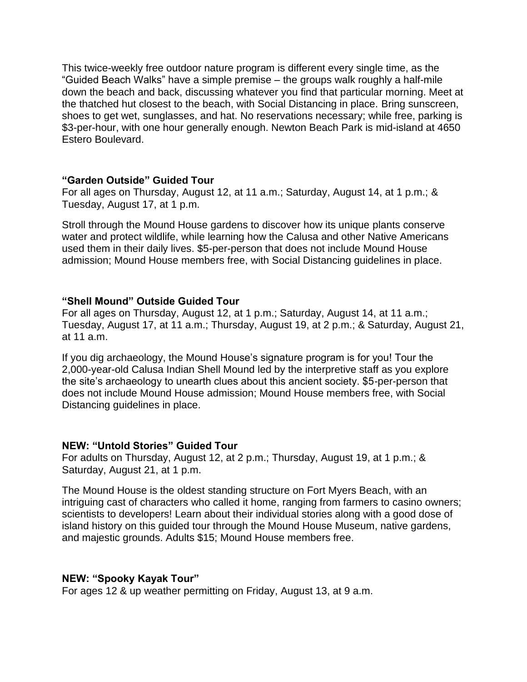This twice-weekly free outdoor nature program is different every single time, as the "Guided Beach Walks" have a simple premise – the groups walk roughly a half-mile down the beach and back, discussing whatever you find that particular morning. Meet at the thatched hut closest to the beach, with Social Distancing in place. Bring sunscreen, shoes to get wet, sunglasses, and hat. No reservations necessary; while free, parking is \$3-per-hour, with one hour generally enough. Newton Beach Park is mid-island at 4650 Estero Boulevard.

#### **"Garden Outside" Guided Tour**

For all ages on Thursday, August 12, at 11 a.m.; Saturday, August 14, at 1 p.m.; & Tuesday, August 17, at 1 p.m.

Stroll through the Mound House gardens to discover how its unique plants conserve water and protect wildlife, while learning how the Calusa and other Native Americans used them in their daily lives. \$5-per-person that does not include Mound House admission; Mound House members free, with Social Distancing guidelines in place.

#### **"Shell Mound" Outside Guided Tour**

For all ages on Thursday, August 12, at 1 p.m.; Saturday, August 14, at 11 a.m.; Tuesday, August 17, at 11 a.m.; Thursday, August 19, at 2 p.m.; & Saturday, August 21, at 11 a.m.

If you dig archaeology, the Mound House's signature program is for you! Tour the 2,000-year-old Calusa Indian Shell Mound led by the interpretive staff as you explore the site's archaeology to unearth clues about this ancient society. \$5-per-person that does not include Mound House admission; Mound House members free, with Social Distancing guidelines in place.

## **NEW: "Untold Stories" Guided Tour**

For adults on Thursday, August 12, at 2 p.m.; Thursday, August 19, at 1 p.m.; & Saturday, August 21, at 1 p.m.

The Mound House is the oldest standing structure on Fort Myers Beach, with an intriguing cast of characters who called it home, ranging from farmers to casino owners; scientists to developers! Learn about their individual stories along with a good dose of island history on this guided tour through the Mound House Museum, native gardens, and majestic grounds. Adults \$15; Mound House members free.

## **NEW: "Spooky Kayak Tour"**

For ages 12 & up weather permitting on Friday, August 13, at 9 a.m.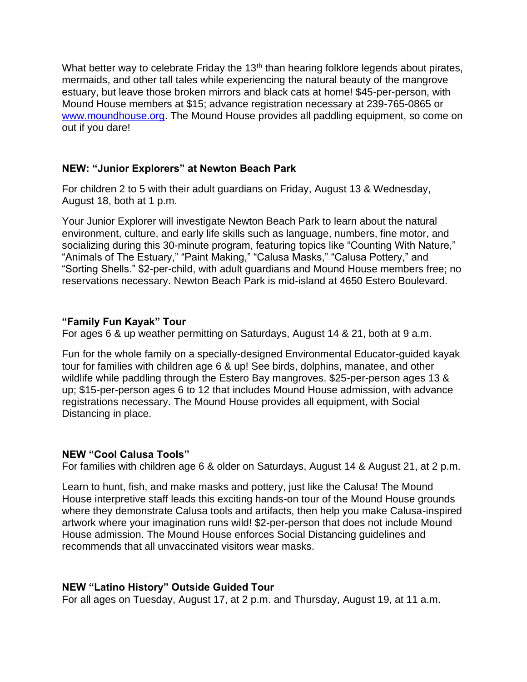What better way to celebrate Friday the 13<sup>th</sup> than hearing folklore legends about pirates, mermaids, and other tall tales while experiencing the natural beauty of the mangrove estuary, but leave those broken mirrors and black cats at home! \$45-per-person, with Mound House members at \$15; advance registration necessary at 239-765-0865 or [www.moundhouse.org.](http://www.moundhouse.org/) The Mound House provides all paddling equipment, so come on out if you dare!

## **NEW: "Junior Explorers" at Newton Beach Park**

For children 2 to 5 with their adult guardians on Friday, August 13 & Wednesday, August 18, both at 1 p.m.

Your Junior Explorer will investigate Newton Beach Park to learn about the natural environment, culture, and early life skills such as language, numbers, fine motor, and socializing during this 30-minute program, featuring topics like "Counting With Nature," "Animals of The Estuary," "Paint Making," "Calusa Masks," "Calusa Pottery," and "Sorting Shells." \$2-per-child, with adult guardians and Mound House members free; no reservations necessary. Newton Beach Park is mid-island at 4650 Estero Boulevard.

# **"Family Fun Kayak" Tour**

For ages 6 & up weather permitting on Saturdays, August 14 & 21, both at 9 a.m.

Fun for the whole family on a specially-designed Environmental Educator-guided kayak tour for families with children age 6 & up! See birds, dolphins, manatee, and other wildlife while paddling through the Estero Bay mangroves. \$25-per-person ages 13 & up; \$15-per-person ages 6 to 12 that includes Mound House admission, with advance registrations necessary. The Mound House provides all equipment, with Social Distancing in place.

## **NEW "Cool Calusa Tools"**

For families with children age 6 & older on Saturdays, August 14 & August 21, at 2 p.m.

Learn to hunt, fish, and make masks and pottery, just like the Calusa! The Mound House interpretive staff leads this exciting hands-on tour of the Mound House grounds where they demonstrate Calusa tools and artifacts, then help you make Calusa-inspired artwork where your imagination runs wild! \$2-per-person that does not include Mound House admission. The Mound House enforces Social Distancing guidelines and recommends that all unvaccinated visitors wear masks.

# **NEW "Latino History" Outside Guided Tour**

For all ages on Tuesday, August 17, at 2 p.m. and Thursday, August 19, at 11 a.m.